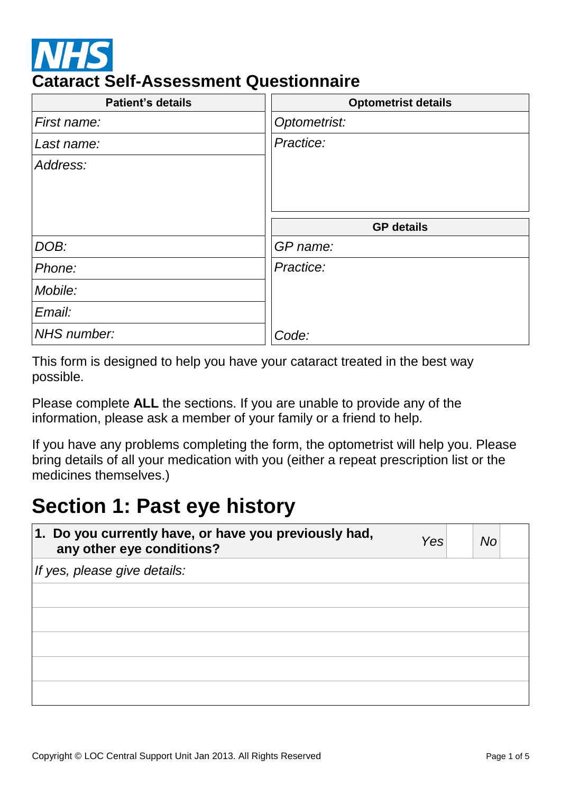

### **Cataract Self-Assessment Questionnaire**

| <b>Patient's details</b> | <b>Optometrist details</b> |
|--------------------------|----------------------------|
| First name:              | Optometrist:               |
| Last name:               | Practice:                  |
| Address:                 |                            |
|                          |                            |
|                          |                            |
|                          | <b>GP</b> details          |
| DOB:                     | GP name:                   |
| Phone:                   | Practice:                  |
| Mobile:                  |                            |
| Email:                   |                            |
| NHS number:              | Code:                      |

This form is designed to help you have your cataract treated in the best way possible.

Please complete **ALL** the sections. If you are unable to provide any of the information, please ask a member of your family or a friend to help.

If you have any problems completing the form, the optometrist will help you. Please bring details of all your medication with you (either a repeat prescription list or the medicines themselves.)

### **Section 1: Past eye history**

| 1. Do you currently have, or have you previously had,<br>any other eye conditions? | Yes | No |
|------------------------------------------------------------------------------------|-----|----|
| If yes, please give details:                                                       |     |    |
|                                                                                    |     |    |
|                                                                                    |     |    |
|                                                                                    |     |    |
|                                                                                    |     |    |
|                                                                                    |     |    |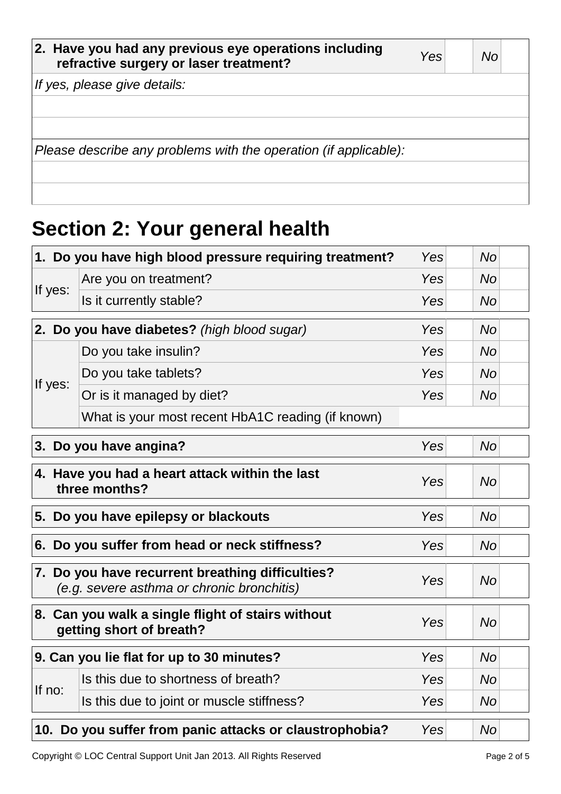| 2. Have you had any previous eye operations including<br>refractive surgery or laser treatment? | Yesl | No |
|-------------------------------------------------------------------------------------------------|------|----|
| If yes, please give details:                                                                    |      |    |
|                                                                                                 |      |    |
|                                                                                                 |      |    |
| Please describe any problems with the operation (if applicable):                                |      |    |
|                                                                                                 |      |    |
|                                                                                                 |      |    |

# **Section 2: Your general health**

|                                                                                     | 1. Do you have high blood pressure requiring treatment?                                                            | Yes | <b>No</b> |  |
|-------------------------------------------------------------------------------------|--------------------------------------------------------------------------------------------------------------------|-----|-----------|--|
|                                                                                     | Are you on treatment?                                                                                              | Yes | <b>No</b> |  |
| If yes:                                                                             | Is it currently stable?                                                                                            | Yes | <b>No</b> |  |
|                                                                                     | 2. Do you have diabetes? (high blood sugar)                                                                        | Yes | <b>No</b> |  |
|                                                                                     | Do you take insulin?                                                                                               | Yes | <b>No</b> |  |
|                                                                                     | Do you take tablets?                                                                                               | Yes | <b>No</b> |  |
| If yes:                                                                             | Or is it managed by diet?                                                                                          | Yes | No        |  |
|                                                                                     | What is your most recent HbA1C reading (if known)                                                                  |     |           |  |
|                                                                                     | 3. Do you have angina?                                                                                             | Yes | <b>No</b> |  |
| 4. Have you had a heart attack within the last<br>Yes<br><b>No</b><br>three months? |                                                                                                                    |     |           |  |
|                                                                                     | 5. Do you have epilepsy or blackouts                                                                               | Yes | <b>No</b> |  |
| 6. Do you suffer from head or neck stiffness?<br>Yes                                |                                                                                                                    |     | <b>No</b> |  |
|                                                                                     | 7. Do you have recurrent breathing difficulties?<br>Yes<br><b>No</b><br>(e.g. severe asthma or chronic bronchitis) |     |           |  |
|                                                                                     | 8. Can you walk a single flight of stairs without<br>Yes<br><b>No</b><br>getting short of breath?                  |     |           |  |
|                                                                                     | 9. Can you lie flat for up to 30 minutes?                                                                          | Yes | <b>No</b> |  |
| If no:                                                                              | Is this due to shortness of breath?                                                                                | Yes | <b>No</b> |  |
|                                                                                     | Is this due to joint or muscle stiffness?                                                                          | Yes | No        |  |
|                                                                                     | 10. Do you suffer from panic attacks or claustrophobia?<br>Yes<br>No                                               |     |           |  |

Copyright © LOC Central Support Unit Jan 2013. All Rights Reserved Page 2 of 5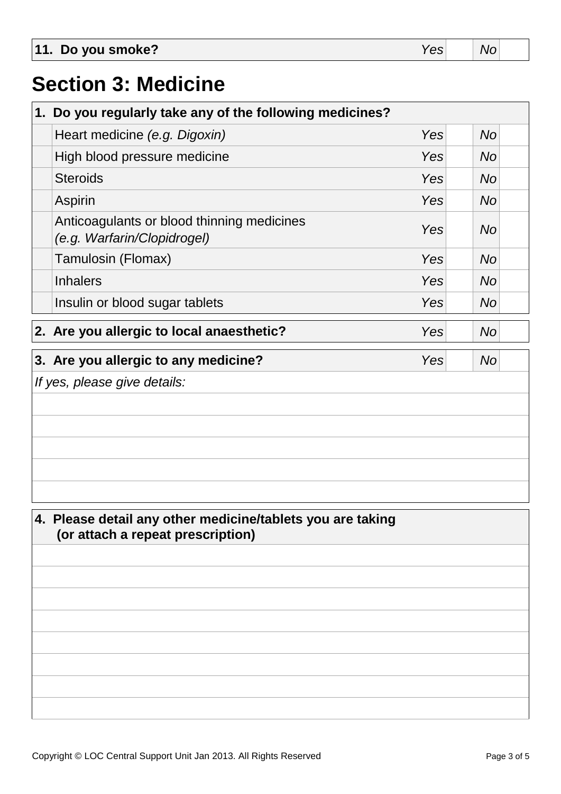| 11. Do you smoke? | v. | Nc |  |
|-------------------|----|----|--|
|                   |    |    |  |

### **Section 3: Medicine**

| 1. Do you regularly take any of the following medicines?                  |            |           |  |  |
|---------------------------------------------------------------------------|------------|-----------|--|--|
| Heart medicine (e.g. Digoxin)                                             | Yes        | <b>No</b> |  |  |
| High blood pressure medicine                                              | Yes        | <b>No</b> |  |  |
| <b>Steroids</b>                                                           | Yes        | <b>No</b> |  |  |
| Aspirin                                                                   | Yes        | <b>No</b> |  |  |
| Anticoagulants or blood thinning medicines<br>(e.g. Warfarin/Clopidrogel) | <b>Yes</b> | <b>No</b> |  |  |
| Tamulosin (Flomax)                                                        | Yes        | <b>No</b> |  |  |
| <b>Inhalers</b>                                                           | Yes        | <b>No</b> |  |  |
| Insulin or blood sugar tablets                                            | Yes        | <b>No</b> |  |  |
| 2. Are you allergic to local anaesthetic?                                 | Yes        | <b>No</b> |  |  |
| 3. Are you allergic to any medicine?                                      | Yes        | <b>No</b> |  |  |

#### *If yes, please give details:*

### **4. Please detail any other medicine/tablets you are taking (or attach a repeat prescription)**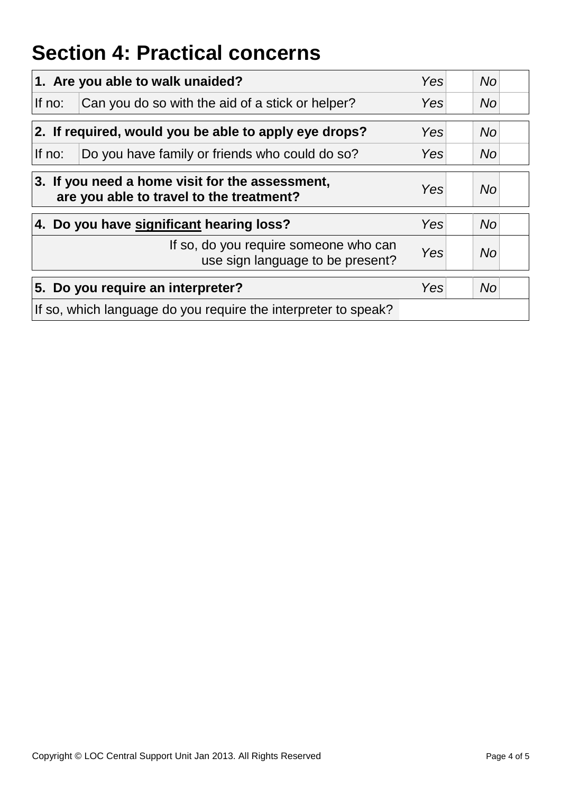## **Section 4: Practical concerns**

|                                                                                             | 1. Are you able to walk unaided?                                          | Yes | <b>No</b> |
|---------------------------------------------------------------------------------------------|---------------------------------------------------------------------------|-----|-----------|
| If no:                                                                                      | Can you do so with the aid of a stick or helper?                          | Yes | <b>No</b> |
| 2. If required, would you be able to apply eye drops?                                       |                                                                           |     | <b>No</b> |
| If no:                                                                                      | Do you have family or friends who could do so?                            | Yes | <b>No</b> |
| 3. If you need a home visit for the assessment,<br>are you able to travel to the treatment? |                                                                           |     | <b>No</b> |
| 4. Do you have significant hearing loss?                                                    |                                                                           | Yes | <b>No</b> |
|                                                                                             | If so, do you require someone who can<br>use sign language to be present? | Yes | <b>No</b> |
|                                                                                             | 5. Do you require an interpreter?                                         | Yes | <b>No</b> |
|                                                                                             | If so, which language do you require the interpreter to speak?            |     |           |